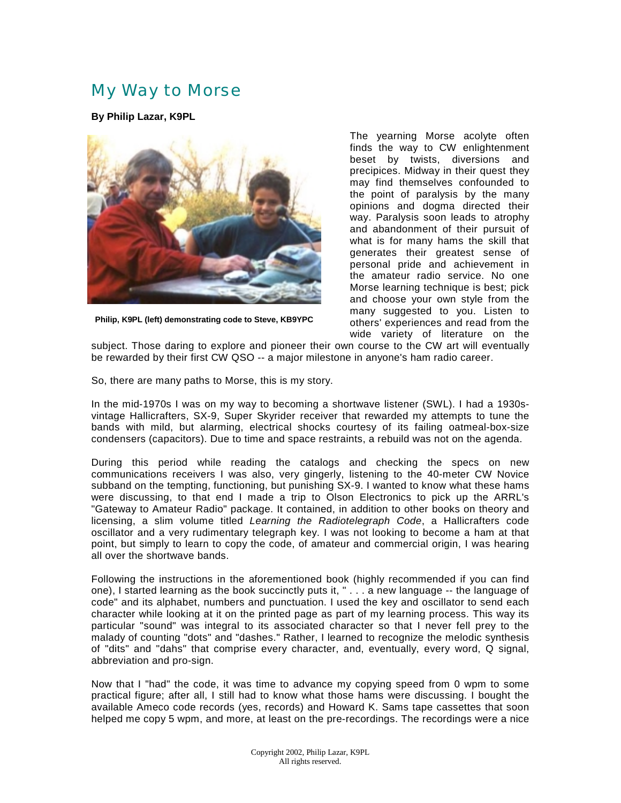## My Way to Morse

**By Philip Lazar, K9PL**



**Philip, K9PL (left) demonstrating code to Steve, KB9YPC**

The yearning Morse acolyte often finds the way to CW enlightenment beset by twists, diversions and precipices. Midway in their quest they may find themselves confounded to the point of paralysis by the many opinions and dogma directed their way. Paralysis soon leads to atrophy and abandonment of their pursuit of what is for many hams the skill that generates their greatest sense of personal pride and achievement in the amateur radio service. No one Morse learning technique is best; pick and choose your own style from the many suggested to you. Listen to others' experiences and read from the wide variety of literature on the

subject. Those daring to explore and pioneer their own course to the CW art will eventually be rewarded by their first CW QSO -- a major milestone in anyone's ham radio career.

So, there are many paths to Morse, this is my story.

In the mid-1970s I was on my way to becoming a shortwave listener (SWL). I had a 1930svintage Hallicrafters, SX-9, Super Skyrider receiver that rewarded my attempts to tune the bands with mild, but alarming, electrical shocks courtesy of its failing oatmeal-box-size condensers (capacitors). Due to time and space restraints, a rebuild was not on the agenda.

During this period while reading the catalogs and checking the specs on new communications receivers I was also, very gingerly, listening to the 40-meter CW Novice subband on the tempting, functioning, but punishing SX-9. I wanted to know what these hams were discussing, to that end I made a trip to Olson Electronics to pick up the ARRL's "Gateway to Amateur Radio" package. It contained, in addition to other books on theory and licensing, a slim volume titled Learning the Radiotelegraph Code, a Hallicrafters code oscillator and a very rudimentary telegraph key. I was not looking to become a ham at that point, but simply to learn to copy the code, of amateur and commercial origin, I was hearing all over the shortwave bands.

Following the instructions in the aforementioned book (highly recommended if you can find one), I started learning as the book succinctly puts it, " . . . a new language -- the language of code" and its alphabet, numbers and punctuation. I used the key and oscillator to send each character while looking at it on the printed page as part of my learning process. This way its particular "sound" was integral to its associated character so that I never fell prey to the malady of counting "dots" and "dashes." Rather, I learned to recognize the melodic synthesis of "dits" and "dahs" that comprise every character, and, eventually, every word, Q signal, abbreviation and pro-sign.

Now that I "had" the code, it was time to advance my copying speed from 0 wpm to some practical figure; after all, I still had to know what those hams were discussing. I bought the available Ameco code records (yes, records) and Howard K. Sams tape cassettes that soon helped me copy 5 wpm, and more, at least on the pre-recordings. The recordings were a nice